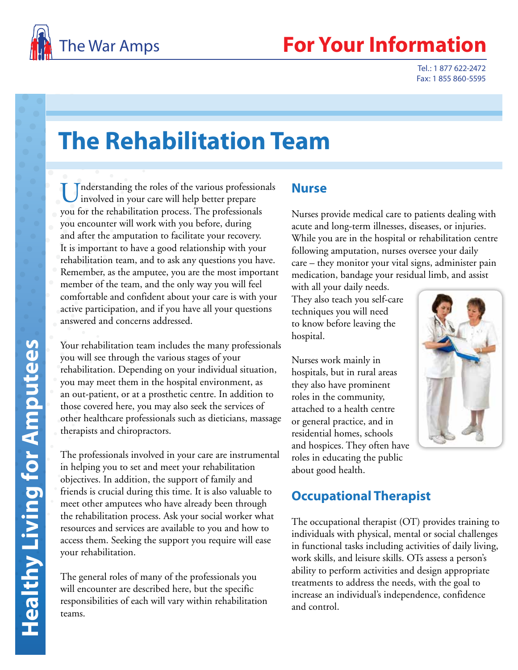

## **Your Information**

Tel.: 1 877 622-2472 Fax: 1 855 860-5595

# **The Rehabilitation Team**

Understanding the roles of the various professionals<br>involved in your care will help better prepare you for the rehabilitation process. The professionals you encounter will work with you before, during and after the amputation to facilitate your recovery. It is important to have a good relationship with your rehabilitation team, and to ask any questions you have. Remember, as the amputee, you are the most important member of the team, and the only way you will feel comfortable and confident about your care is with your active participation, and if you have all your questions answered and concerns addressed.

Your rehabilitation team includes the many professionals you will see through the various stages of your rehabilitation. Depending on your individual situation, you may meet them in the hospital environment, as an out-patient, or at a prosthetic centre. In addition to those covered here, you may also seek the services of other healthcare professionals such as dieticians, massage therapists and chiropractors.

The professionals involved in your care are instrumental in helping you to set and meet your rehabilitation objectives. In addition, the support of family and friends is crucial during this time. It is also valuable to meet other amputees who have already been through the rehabilitation process. Ask your social worker what resources and services are available to you and how to access them. Seeking the support you require will ease your rehabilitation.

The general roles of many of the professionals you will encounter are described here, but the specific responsibilities of each will vary within rehabilitation teams.

#### **Nurse**

Nurses provide medical care to patients dealing with acute and long-term illnesses, diseases, or injuries. While you are in the hospital or rehabilitation centre following amputation, nurses oversee your daily care – they monitor your vital signs, administer pain medication, bandage your residual limb, and assist

with all your daily needs. They also teach you self-care techniques you will need to know before leaving the hospital.

Nurses work mainly in hospitals, but in rural areas they also have prominent roles in the community, attached to a health centre or general practice, and in residential homes, schools and hospices. They often have roles in educating the public about good health.



#### **Occupational Therapist**

The occupational therapist (OT) provides training to individuals with physical, mental or social challenges in functional tasks including activities of daily living, work skills, and leisure skills. OTs assess a person's ability to perform activities and design appropriate treatments to address the needs, with the goal to increase an individual's independence, confidence and control.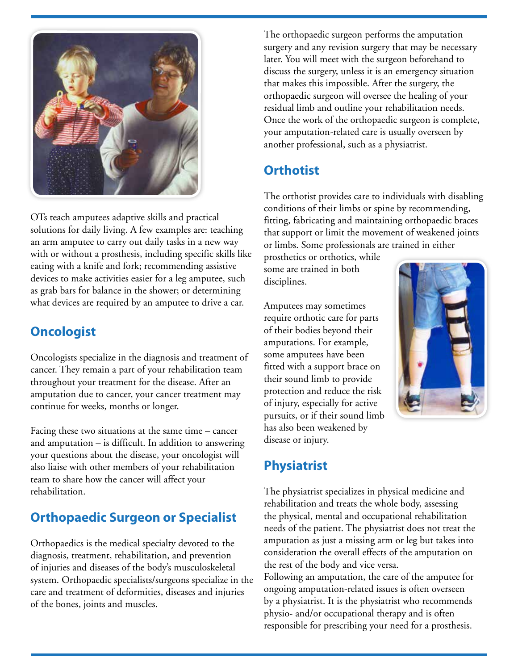

OTs teach amputees adaptive skills and practical solutions for daily living. A few examples are: teaching an arm amputee to carry out daily tasks in a new way with or without a prosthesis, including specific skills like eating with a knife and fork; recommending assistive devices to make activities easier for a leg amputee, such as grab bars for balance in the shower; or determining what devices are required by an amputee to drive a car.

#### **Oncologist**

Oncologists specialize in the diagnosis and treatment of cancer. They remain a part of your rehabilitation team throughout your treatment for the disease. After an amputation due to cancer, your cancer treatment may continue for weeks, months or longer.

Facing these two situations at the same time – cancer and amputation – is difficult. In addition to answering your questions about the disease, your oncologist will also liaise with other members of your rehabilitation team to share how the cancer will affect your rehabilitation.

#### **Orthopaedic Surgeon or Specialist**

Orthopaedics is the medical specialty devoted to the diagnosis, treatment, rehabilitation, and prevention of injuries and diseases of the body's musculoskeletal system. Orthopaedic specialists/surgeons specialize in the care and treatment of deformities, diseases and injuries of the bones, joints and muscles.

The orthopaedic surgeon performs the amputation surgery and any revision surgery that may be necessary later. You will meet with the surgeon beforehand to discuss the surgery, unless it is an emergency situation that makes this impossible. After the surgery, the orthopaedic surgeon will oversee the healing of your residual limb and outline your rehabilitation needs. Once the work of the orthopaedic surgeon is complete, your amputation-related care is usually overseen by another professional, such as a physiatrist.

#### **Orthotist**

The orthotist provides care to individuals with disabling conditions of their limbs or spine by recommending, fitting, fabricating and maintaining orthopaedic braces that support or limit the movement of weakened joints or limbs. Some professionals are trained in either

prosthetics or orthotics, while some are trained in both disciplines.

Amputees may sometimes require orthotic care for parts of their bodies beyond their amputations. For example, some amputees have been fitted with a support brace on their sound limb to provide protection and reduce the risk of injury, especially for active pursuits, or if their sound limb has also been weakened by disease or injury.



## **Physiatrist**

The physiatrist specializes in physical medicine and rehabilitation and treats the whole body, assessing the physical, mental and occupational rehabilitation needs of the patient. The physiatrist does not treat the amputation as just a missing arm or leg but takes into consideration the overall effects of the amputation on the rest of the body and vice versa.

Following an amputation, the care of the amputee for ongoing amputation-related issues is often overseen by a physiatrist. It is the physiatrist who recommends physio- and/or occupational therapy and is often responsible for prescribing your need for a prosthesis.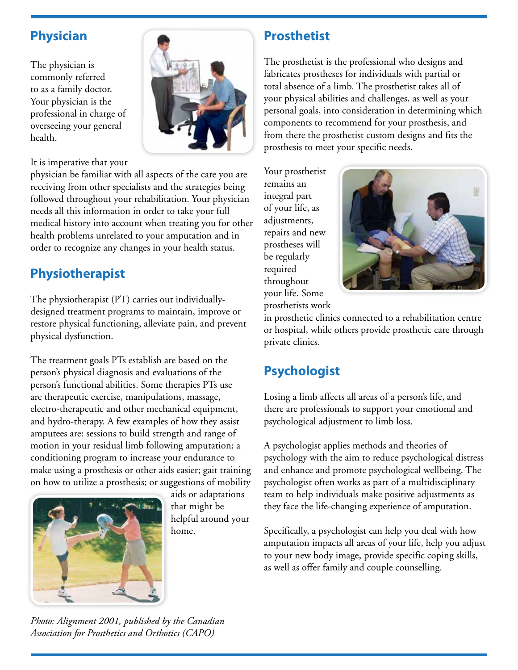#### **Physician**

The physician is commonly referred to as a family doctor. Your physician is the professional in charge of overseeing your general health.



It is imperative that your

physician be familiar with all aspects of the care you are receiving from other specialists and the strategies being followed throughout your rehabilitation. Your physician needs all this information in order to take your full medical history into account when treating you for other health problems unrelated to your amputation and in order to recognize any changes in your health status.

## **Physiotherapist**

The physiotherapist (PT) carries out individuallydesigned treatment programs to maintain, improve or restore physical functioning, alleviate pain, and prevent physical dysfunction.

The treatment goals PTs establish are based on the person's physical diagnosis and evaluations of the person's functional abilities. Some therapies PTs use are therapeutic exercise, manipulations, massage, electro-therapeutic and other mechanical equipment, and hydro-therapy. A few examples of how they assist amputees are: sessions to build strength and range of motion in your residual limb following amputation; a conditioning program to increase your endurance to make using a prosthesis or other aids easier; gait training on how to utilize a prosthesis; or suggestions of mobility



aids or adaptations that might be helpful around your home.

### **Prosthetist**

The prosthetist is the professional who designs and fabricates prostheses for individuals with partial or total absence of a limb. The prosthetist takes all of your physical abilities and challenges, as well as your personal goals, into consideration in determining which components to recommend for your prosthesis, and from there the prosthetist custom designs and fits the prosthesis to meet your specific needs.

Your prosthetist remains an integral part of your life, as adjustments, repairs and new prostheses will be regularly required throughout your life. Some prosthetists work



in prosthetic clinics connected to a rehabilitation centre or hospital, while others provide prosthetic care through private clinics.

## **Psychologist**

Losing a limb affects all areas of a person's life, and there are professionals to support your emotional and psychological adjustment to limb loss.

A psychologist applies methods and theories of psychology with the aim to reduce psychological distress and enhance and promote psychological wellbeing. The psychologist often works as part of a multidisciplinary team to help individuals make positive adjustments as they face the life-changing experience of amputation.

Specifically, a psychologist can help you deal with how amputation impacts all areas of your life, help you adjust to your new body image, provide specific coping skills, as well as offer family and couple counselling.

*Photo: Alignment 2001, published by the Canadian Association for Prosthetics and Orthotics (CAPO)*